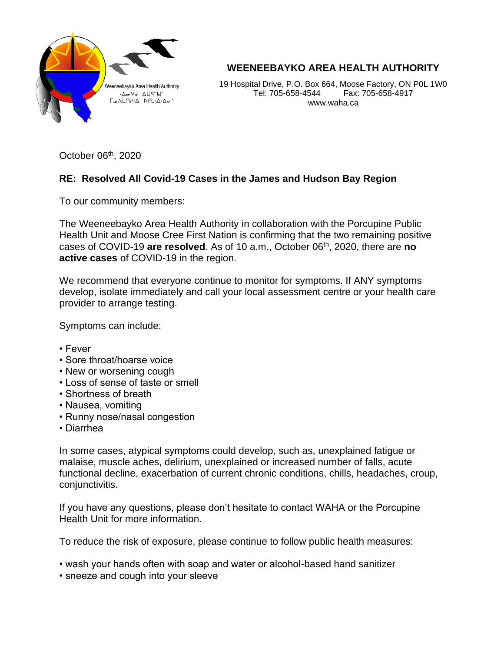

**WEENEEBAYKO AREA HEALTH AUTHORITY**

19 Hospital Drive, P.O. Box 664, Moose Factory, ON P0L 1W0 Tel: 705-658-4544 Fax: 705-658-4917 www.waha.ca

October 06<sup>th</sup>, 2020

## **RE: Resolved All Covid-19 Cases in the James and Hudson Bay Region**

To our community members:

The Weeneebayko Area Health Authority in collaboration with the Porcupine Public Health Unit and Moose Cree First Nation is confirming that the two remaining positive cases of COVID-19 **are resolved**. As of 10 a.m., October 06th, 2020, there are **no active cases** of COVID-19 in the region.

We recommend that everyone continue to monitor for symptoms. If ANY symptoms develop, isolate immediately and call your local assessment centre or your health care provider to arrange testing.

Symptoms can include:

- Fever
- Sore throat/hoarse voice
- New or worsening cough
- Loss of sense of taste or smell
- Shortness of breath
- Nausea, vomiting
- Runny nose/nasal congestion
- Diarrhea

In some cases, atypical symptoms could develop, such as, unexplained fatigue or malaise, muscle aches, delirium, unexplained or increased number of falls, acute functional decline, exacerbation of current chronic conditions, chills, headaches, croup, conjunctivitis.

If you have any questions, please don't hesitate to contact WAHA or the Porcupine Health Unit for more information.

To reduce the risk of exposure, please continue to follow public health measures:

- wash your hands often with soap and water or alcohol-based hand sanitizer
- sneeze and cough into your sleeve